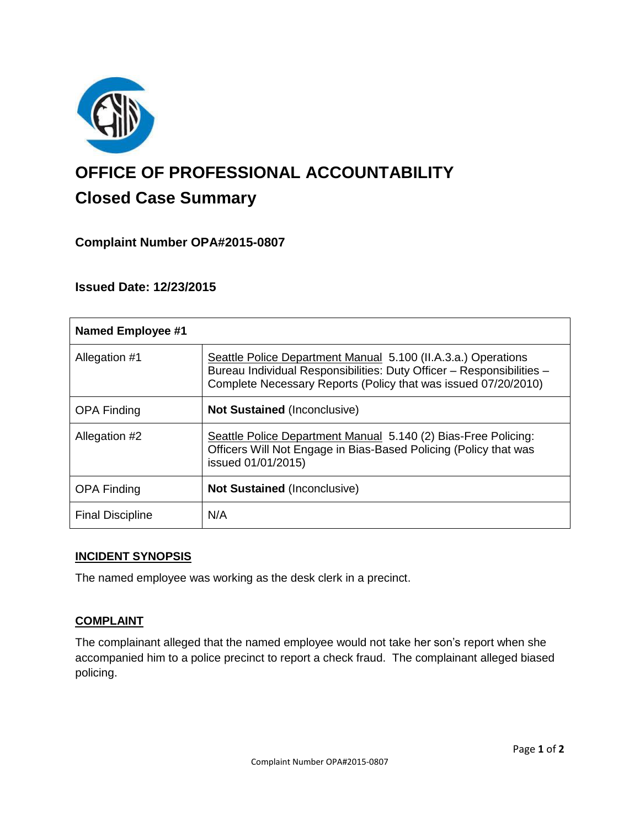

# **OFFICE OF PROFESSIONAL ACCOUNTABILITY Closed Case Summary**

## **Complaint Number OPA#2015-0807**

**Issued Date: 12/23/2015**

| <b>Named Employee #1</b> |                                                                                                                                                                                                          |
|--------------------------|----------------------------------------------------------------------------------------------------------------------------------------------------------------------------------------------------------|
| Allegation #1            | Seattle Police Department Manual 5.100 (II.A.3.a.) Operations<br>Bureau Individual Responsibilities: Duty Officer - Responsibilities -<br>Complete Necessary Reports (Policy that was issued 07/20/2010) |
| <b>OPA Finding</b>       | <b>Not Sustained (Inconclusive)</b>                                                                                                                                                                      |
| Allegation #2            | Seattle Police Department Manual 5.140 (2) Bias-Free Policing:<br>Officers Will Not Engage in Bias-Based Policing (Policy that was<br>issued 01/01/2015)                                                 |
| <b>OPA Finding</b>       | <b>Not Sustained (Inconclusive)</b>                                                                                                                                                                      |
| <b>Final Discipline</b>  | N/A                                                                                                                                                                                                      |

## **INCIDENT SYNOPSIS**

The named employee was working as the desk clerk in a precinct.

## **COMPLAINT**

The complainant alleged that the named employee would not take her son's report when she accompanied him to a police precinct to report a check fraud. The complainant alleged biased policing.